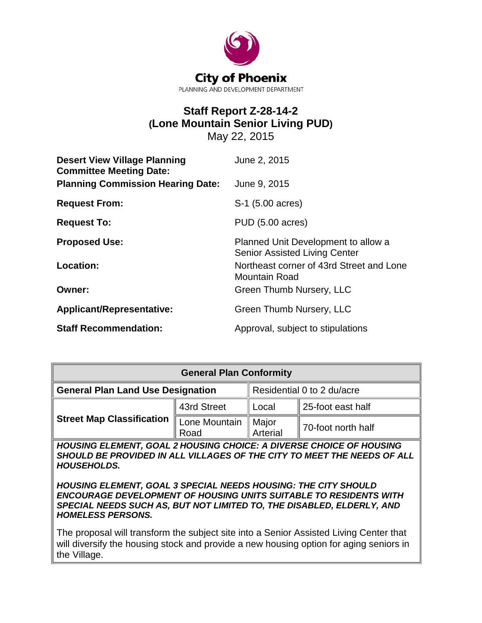

# **Staff Report Z-28-14-2 (Lone Mountain Senior Living PUD)**

May 22, 2015

| <b>Desert View Village Planning</b><br><b>Committee Meeting Date:</b> | June 2, 2015                                                                |
|-----------------------------------------------------------------------|-----------------------------------------------------------------------------|
| <b>Planning Commission Hearing Date:</b>                              | June 9, 2015                                                                |
| <b>Request From:</b>                                                  | S-1 (5.00 acres)                                                            |
| <b>Request To:</b>                                                    | <b>PUD (5.00 acres)</b>                                                     |
| <b>Proposed Use:</b>                                                  | Planned Unit Development to allow a<br><b>Senior Assisted Living Center</b> |
| <b>Location:</b>                                                      | Northeast corner of 43rd Street and Lone<br><b>Mountain Road</b>            |
| <b>Owner:</b>                                                         | Green Thumb Nursery, LLC                                                    |
| Applicant/Representative:                                             | Green Thumb Nursery, LLC                                                    |
| <b>Staff Recommendation:</b>                                          | Approval, subject to stipulations                                           |

| <b>General Plan Conformity</b>                                     |                       |                            |                    |  |
|--------------------------------------------------------------------|-----------------------|----------------------------|--------------------|--|
| <b>General Plan Land Use Designation</b>                           |                       | Residential 0 to 2 du/acre |                    |  |
| <b>Street Map Classification</b>                                   | 43rd Street           | Local                      | 25-foot east half  |  |
|                                                                    | Lone Mountain<br>Road | Major<br>Arterial          | 70-foot north half |  |
| HOURING ELEMENT GOAL 2 HOURING CHOICE. A DIVERSE CHOICE OF HOURING |                       |                            |                    |  |

*HOUSING ELEMENT, GOAL 2 HOUSING CHOICE: A DIVERSE CHOICE OF HOUSING SHOULD BE PROVIDED IN ALL VILLAGES OF THE CITY TO MEET THE NEEDS OF ALL HOUSEHOLDS.*

*HOUSING ELEMENT, GOAL 3 SPECIAL NEEDS HOUSING: THE CITY SHOULD ENCOURAGE DEVELOPMENT OF HOUSING UNITS SUITABLE TO RESIDENTS WITH SPECIAL NEEDS SUCH AS, BUT NOT LIMITED TO, THE DISABLED, ELDERLY, AND HOMELESS PERSONS.*

The proposal will transform the subject site into a Senior Assisted Living Center that will diversify the housing stock and provide a new housing option for aging seniors in the Village.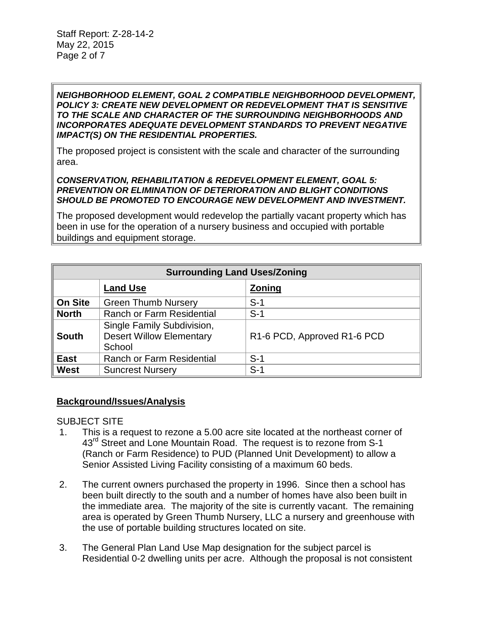*NEIGHBORHOOD ELEMENT, GOAL 2 COMPATIBLE NEIGHBORHOOD DEVELOPMENT, POLICY 3: CREATE NEW DEVELOPMENT OR REDEVELOPMENT THAT IS SENSITIVE TO THE SCALE AND CHARACTER OF THE SURROUNDING NEIGHBORHOODS AND INCORPORATES ADEQUATE DEVELOPMENT STANDARDS TO PREVENT NEGATIVE IMPACT(S) ON THE RESIDENTIAL PROPERTIES.*

The proposed project is consistent with the scale and character of the surrounding area.

#### *CONSERVATION, REHABILITATION & REDEVELOPMENT ELEMENT, GOAL 5: PREVENTION OR ELIMINATION OF DETERIORATION AND BLIGHT CONDITIONS SHOULD BE PROMOTED TO ENCOURAGE NEW DEVELOPMENT AND INVESTMENT.*

The proposed development would redevelop the partially vacant property which has been in use for the operation of a nursery business and occupied with portable buildings and equipment storage.

| <b>Surrounding Land Uses/Zoning</b> |                                                                         |                             |  |
|-------------------------------------|-------------------------------------------------------------------------|-----------------------------|--|
|                                     | <b>Land Use</b>                                                         | <b>Zoning</b>               |  |
| <b>On Site</b>                      | <b>Green Thumb Nursery</b>                                              | $S-1$                       |  |
| <b>North</b>                        | <b>Ranch or Farm Residential</b>                                        | $S-1$                       |  |
| <b>South</b>                        | Single Family Subdivision,<br><b>Desert Willow Elementary</b><br>School | R1-6 PCD, Approved R1-6 PCD |  |
| <b>East</b>                         | Ranch or Farm Residential                                               | $S-1$                       |  |
| West                                | <b>Suncrest Nursery</b>                                                 | $S-1$                       |  |

# **Background/Issues/Analysis**

SUBJECT SITE

- 1. This is a request to rezone a 5.00 acre site located at the northeast corner of 43<sup>rd</sup> Street and Lone Mountain Road. The request is to rezone from S-1 (Ranch or Farm Residence) to PUD (Planned Unit Development) to allow a Senior Assisted Living Facility consisting of a maximum 60 beds.
- 2. The current owners purchased the property in 1996. Since then a school has been built directly to the south and a number of homes have also been built in the immediate area. The majority of the site is currently vacant. The remaining area is operated by Green Thumb Nursery, LLC a nursery and greenhouse with the use of portable building structures located on site.
- 3. The General Plan Land Use Map designation for the subject parcel is Residential 0-2 dwelling units per acre. Although the proposal is not consistent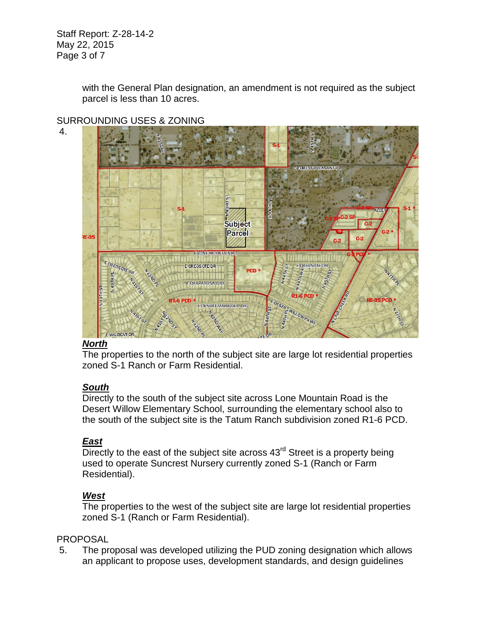Staff Report: Z-28-14-2 May 22, 2015 Page 3 of 7

4.

with the General Plan designation, an amendment is not required as the subject parcel is less than 10 acres.



# SURROUNDING USES & ZONING

# *North*

The properties to the north of the subject site are large lot residential properties zoned S-1 Ranch or Farm Residential.

# *South*

Directly to the south of the subject site across Lone Mountain Road is the Desert Willow Elementary School, surrounding the elementary school also to the south of the subject site is the Tatum Ranch subdivision zoned R1-6 PCD.

# *East*

 $\overline{\text{Direct}}$  to the east of the subject site across  $43^{\text{rd}}$  Street is a property being used to operate Suncrest Nursery currently zoned S-1 (Ranch or Farm Residential).

# *West*

The properties to the west of the subject site are large lot residential properties zoned S-1 (Ranch or Farm Residential).

# PROPOSAL

5. The proposal was developed utilizing the PUD zoning designation which allows an applicant to propose uses, development standards, and design guidelines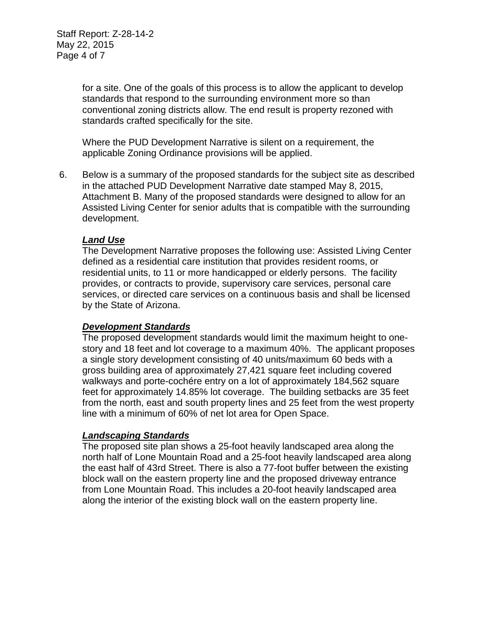for a site. One of the goals of this process is to allow the applicant to develop standards that respond to the surrounding environment more so than conventional zoning districts allow. The end result is property rezoned with standards crafted specifically for the site.

Where the PUD Development Narrative is silent on a requirement, the applicable Zoning Ordinance provisions will be applied.

6. Below is a summary of the proposed standards for the subject site as described in the attached PUD Development Narrative date stamped May 8, 2015, Attachment B. Many of the proposed standards were designed to allow for an Assisted Living Center for senior adults that is compatible with the surrounding development.

## *Land Use*

The Development Narrative proposes the following use: Assisted Living Center defined as a residential care institution that provides resident rooms, or residential units, to 11 or more handicapped or elderly persons. The facility provides, or contracts to provide, supervisory care services, personal care services, or directed care services on a continuous basis and shall be licensed by the State of Arizona.

## *Development Standards*

The proposed development standards would limit the maximum height to onestory and 18 feet and lot coverage to a maximum 40%. The applicant proposes a single story development consisting of 40 units/maximum 60 beds with a gross building area of approximately 27,421 square feet including covered walkways and porte-cochére entry on a lot of approximately 184,562 square feet for approximately 14.85% lot coverage. The building setbacks are 35 feet from the north, east and south property lines and 25 feet from the west property line with a minimum of 60% of net lot area for Open Space.

#### *Landscaping Standards*

The proposed site plan shows a 25-foot heavily landscaped area along the north half of Lone Mountain Road and a 25-foot heavily landscaped area along the east half of 43rd Street. There is also a 77-foot buffer between the existing block wall on the eastern property line and the proposed driveway entrance from Lone Mountain Road. This includes a 20-foot heavily landscaped area along the interior of the existing block wall on the eastern property line.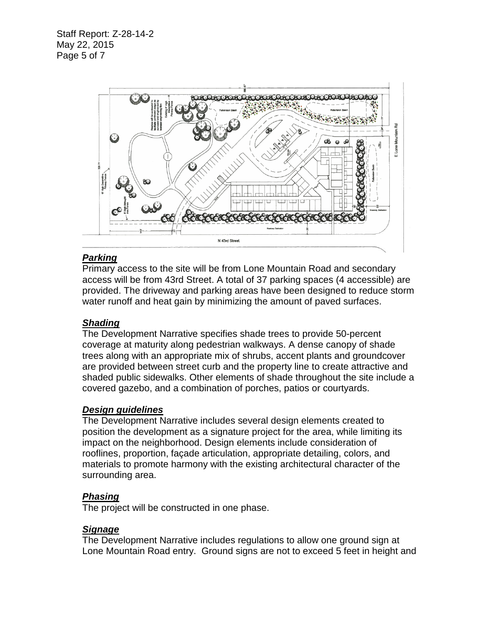Staff Report: Z-28-14-2 May 22, 2015 Page 5 of 7



# *Parking*

Primary access to the site will be from Lone Mountain Road and secondary access will be from 43rd Street. A total of 37 parking spaces (4 accessible) are provided. The driveway and parking areas have been designed to reduce storm water runoff and heat gain by minimizing the amount of paved surfaces.

# *Shading*

The Development Narrative specifies shade trees to provide 50-percent coverage at maturity along pedestrian walkways. A dense canopy of shade trees along with an appropriate mix of shrubs, accent plants and groundcover are provided between street curb and the property line to create attractive and shaded public sidewalks. Other elements of shade throughout the site include a covered gazebo, and a combination of porches, patios or courtyards.

## *Design guidelines*

The Development Narrative includes several design elements created to position the development as a signature project for the area, while limiting its impact on the neighborhood. Design elements include consideration of rooflines, proportion, façade articulation, appropriate detailing, colors, and materials to promote harmony with the existing architectural character of the surrounding area.

# *Phasing*

The project will be constructed in one phase.

## *Signage*

The Development Narrative includes regulations to allow one ground sign at Lone Mountain Road entry. Ground signs are not to exceed 5 feet in height and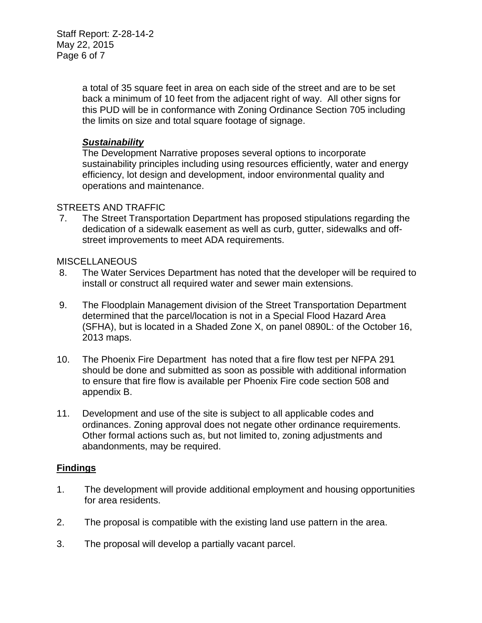Staff Report: Z-28-14-2 May 22, 2015 Page 6 of 7

> a total of 35 square feet in area on each side of the street and are to be set back a minimum of 10 feet from the adjacent right of way. All other signs for this PUD will be in conformance with Zoning Ordinance Section 705 including the limits on size and total square footage of signage.

#### *Sustainability*

The Development Narrative proposes several options to incorporate sustainability principles including using resources efficiently, water and energy efficiency, lot design and development, indoor environmental quality and operations and maintenance.

#### STREETS AND TRAFFIC

7. The Street Transportation Department has proposed stipulations regarding the dedication of a sidewalk easement as well as curb, gutter, sidewalks and offstreet improvements to meet ADA requirements.

#### **MISCELLANEOUS**

- 8. The Water Services Department has noted that the developer will be required to install or construct all required water and sewer main extensions.
- 9. The Floodplain Management division of the Street Transportation Department determined that the parcel/location is not in a Special Flood Hazard Area (SFHA), but is located in a Shaded Zone X, on panel 0890L: of the October 16, 2013 maps.
- 10. The Phoenix Fire Department has noted that a fire flow test per NFPA 291 should be done and submitted as soon as possible with additional information to ensure that fire flow is available per Phoenix Fire code section 508 and appendix B.
- 11. Development and use of the site is subject to all applicable codes and ordinances. Zoning approval does not negate other ordinance requirements. Other formal actions such as, but not limited to, zoning adjustments and abandonments, may be required.

#### **Findings**

- 1. The development will provide additional employment and housing opportunities for area residents.
- 2. The proposal is compatible with the existing land use pattern in the area.
- 3. The proposal will develop a partially vacant parcel.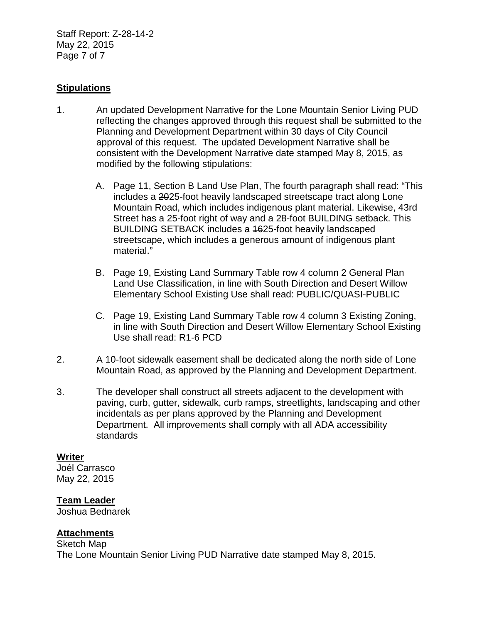Staff Report: Z-28-14-2 May 22, 2015 Page 7 of 7

# **Stipulations**

- 1. An updated Development Narrative for the Lone Mountain Senior Living PUD reflecting the changes approved through this request shall be submitted to the Planning and Development Department within 30 days of City Council approval of this request. The updated Development Narrative shall be consistent with the Development Narrative date stamped May 8, 2015, as modified by the following stipulations:
	- A. Page 11, Section B Land Use Plan, The fourth paragraph shall read: "This includes a 2025-foot heavily landscaped streetscape tract along Lone Mountain Road, which includes indigenous plant material. Likewise, 43rd Street has a 25-foot right of way and a 28-foot BUILDING setback. This BUILDING SETBACK includes a 1625-foot heavily landscaped streetscape, which includes a generous amount of indigenous plant material."
	- B. Page 19, Existing Land Summary Table row 4 column 2 General Plan Land Use Classification, in line with South Direction and Desert Willow Elementary School Existing Use shall read: PUBLIC/QUASI-PUBLIC
	- C. Page 19, Existing Land Summary Table row 4 column 3 Existing Zoning, in line with South Direction and Desert Willow Elementary School Existing Use shall read: R1-6 PCD
- 2. A 10-foot sidewalk easement shall be dedicated along the north side of Lone Mountain Road, as approved by the Planning and Development Department.
- 3. The developer shall construct all streets adjacent to the development with paving, curb, gutter, sidewalk, curb ramps, streetlights, landscaping and other incidentals as per plans approved by the Planning and Development Department. All improvements shall comply with all ADA accessibility standards

## **Writer**

Joél Carrasco May 22, 2015

## **Team Leader**

Joshua Bednarek

## **Attachments**

Sketch Map The Lone Mountain Senior Living PUD Narrative date stamped May 8, 2015.